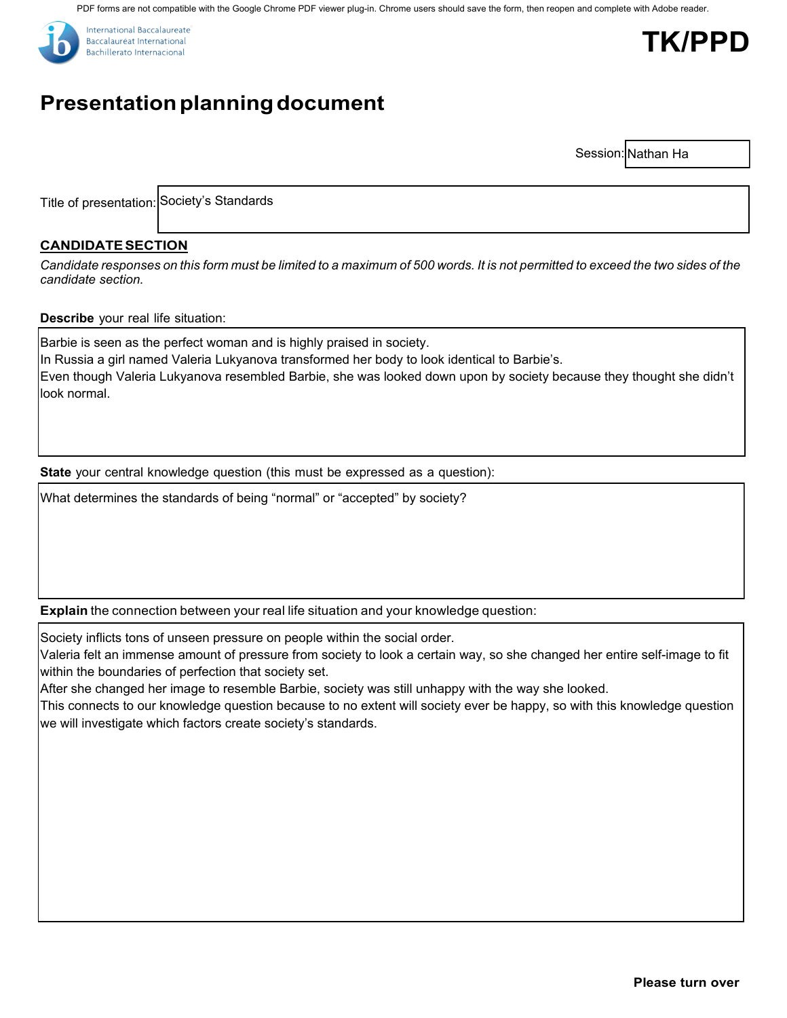PDF forms are not compatible with the Google Chrome PDF viewer plug-in. Chrome users should save the form, then reopen and complete with Adobe reader.





# **Presentation planning document**

Session: Nathan Ha

Title of presentation: Society's Standards

## **CANDIDATESECTION**

Candidate responses on this form must be limited to a maximum of 500 words. It is not permitted to exceed the two sides of the *candidate section.*

#### **Describe** your real life situation:

Barbie is seen as the perfect woman and is highly praised in society. In Russia a girl named Valeria Lukyanova transformed her body to look identical to Barbie's. Even though Valeria Lukyanova resembled Barbie, she was looked down upon by society because they thought she didn't look normal.

**State** your central knowledge question (this must be expressed as a question):

What determines the standards of being "normal" or "accepted" by society?

**Explain** the connection between your real life situation and your knowledge question:

Society inflicts tons of unseen pressure on people within the social order.

Valeria felt an immense amount of pressure from society to look a certain way, so she changed her entire self-image to fit within the boundaries of perfection that society set.

After she changed her image to resemble Barbie, society was still unhappy with the way she looked.

This connects to our knowledge question because to no extent will society ever be happy, so with this knowledge question we will investigate which factors create society's standards.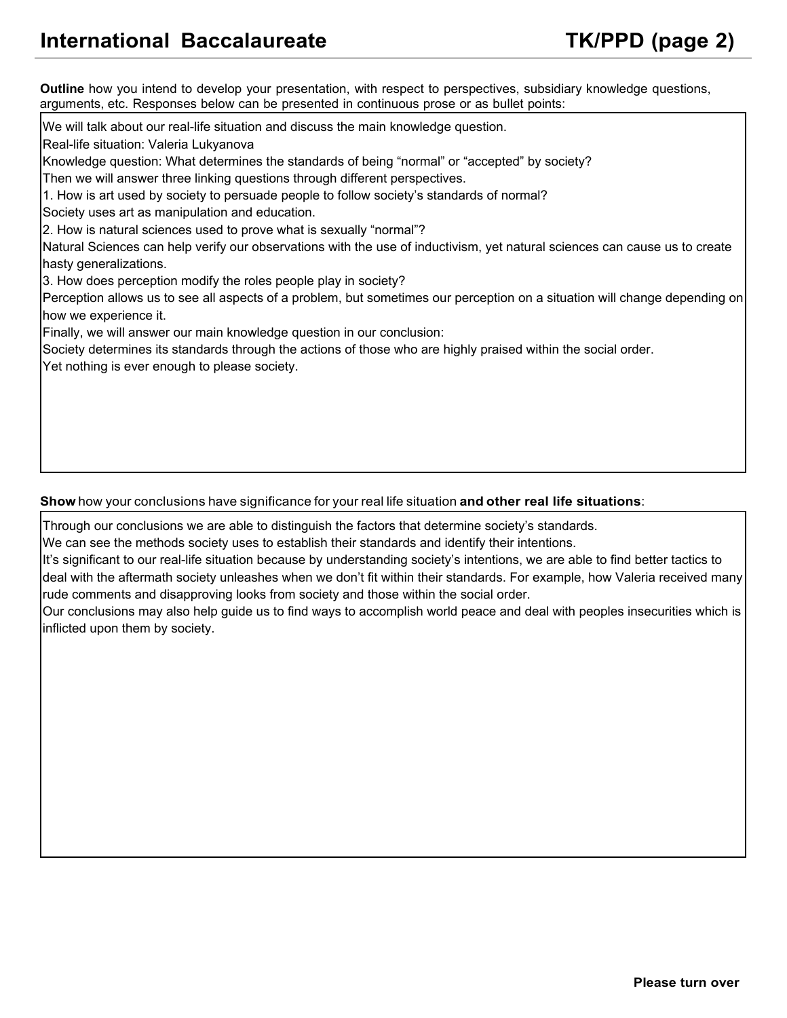**Outline** how you intend to develop your presentation, with respect to perspectives, subsidiary knowledge questions, arguments, etc. Responses below can be presented in continuous prose or as bullet points:

We will talk about our real-life situation and discuss the main knowledge question.

Real-life situation: Valeria Lukyanova

Knowledge question: What determines the standards of being "normal" or "accepted" by society?

Then we will answer three linking questions through different perspectives.

1. How is art used by society to persuade people to follow society's standards of normal?

Society uses art as manipulation and education.

2. How is natural sciences used to prove what is sexually "normal"?

Natural Sciences can help verify our observations with the use of inductivism, yet natural sciences can cause us to create hasty generalizations.

3. How does perception modify the roles people play in society?

Perception allows us to see all aspects of a problem, but sometimes our perception on a situation will change depending on how we experience it.

Finally, we will answer our main knowledge question in our conclusion:

Society determines its standards through the actions of those who are highly praised within the social order.

Yet nothing is ever enough to please society.

### **Show** how your conclusions have significance for your real life situation **and other real life situations**:

Through our conclusions we are able to distinguish the factors that determine society's standards.

We can see the methods society uses to establish their standards and identify their intentions.

It's significant to our real-life situation because by understanding society's intentions, we are able to find better tactics to deal with the aftermath society unleashes when we don't fit within their standards. For example, how Valeria received many rude comments and disapproving looks from society and those within the social order.

Our conclusions may also help guide us to find ways to accomplish world peace and deal with peoples insecurities which is inflicted upon them by society.